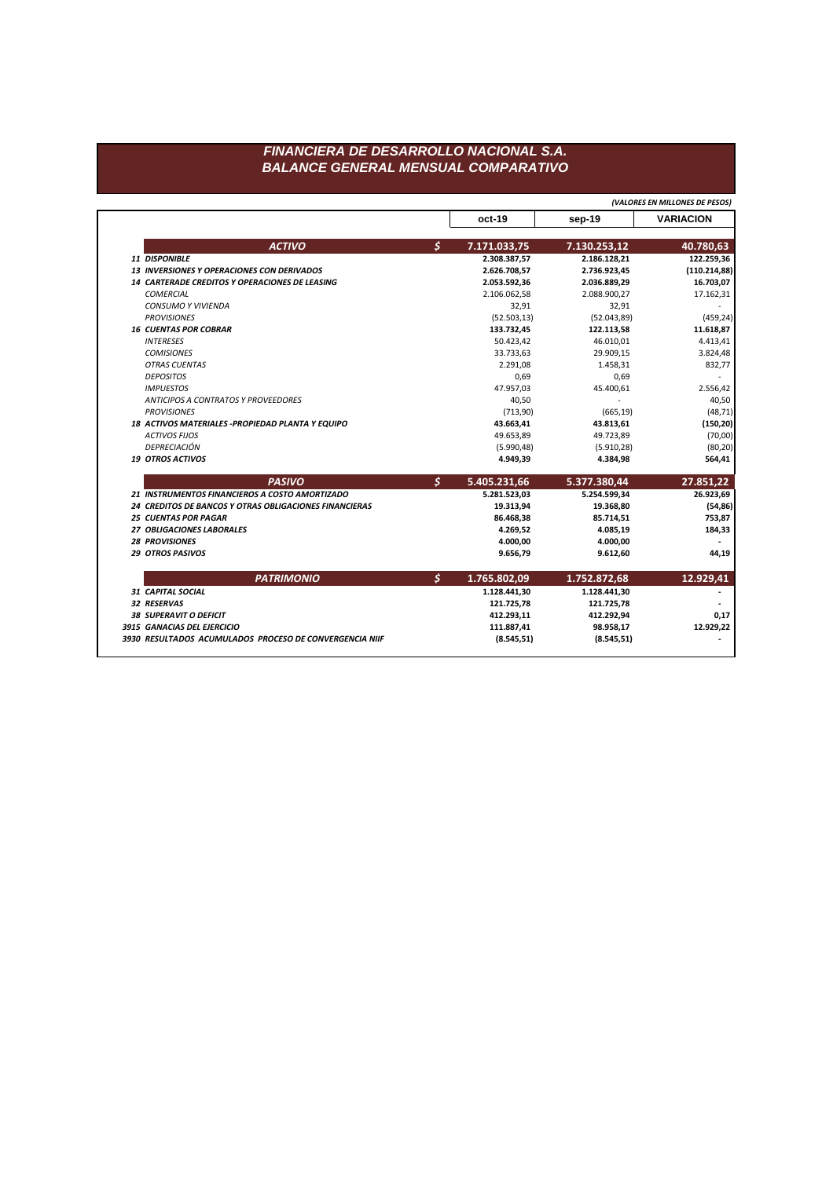## FINANCIERA DE DESARROLLO NACIONAL S.A. **BALANCE GENERAL MENSUAL COMPARATIVO**

(VALORES EN MILLONES DE PESOS)

|  |                                                        |               | oct-19       | sep-19       | <b>VARIACION</b> |
|--|--------------------------------------------------------|---------------|--------------|--------------|------------------|
|  | <b>ACTIVO</b>                                          | $\mathcal{S}$ | 7.171.033,75 | 7.130.253,12 | 40.780,63        |
|  | <b>11 DISPONIBLE</b>                                   |               | 2.308.387,57 | 2.186.128,21 | 122.259,36       |
|  | <b>13 INVERSIONES Y OPERACIONES CON DERIVADOS</b>      |               | 2.626.708,57 | 2.736.923,45 | (110.214, 88)    |
|  | 14 CARTERADE CREDITOS Y OPERACIONES DE LEASING         |               | 2.053.592,36 | 2.036.889,29 | 16.703,07        |
|  | <b>COMERCIAL</b>                                       |               | 2.106.062,58 | 2.088.900,27 | 17.162,31        |
|  | <b>CONSUMO Y VIVIENDA</b>                              |               | 32,91        | 32,91        |                  |
|  | <b>PROVISIONES</b>                                     |               | (52.503, 13) | (52.043, 89) | (459, 24)        |
|  | <b>16 CUENTAS POR COBRAR</b>                           |               | 133.732,45   | 122.113,58   | 11.618,87        |
|  | <b>INTERESES</b>                                       |               | 50.423,42    | 46.010,01    | 4.413,41         |
|  | <b>COMISIONES</b>                                      |               | 33.733,63    | 29.909,15    | 3.824,48         |
|  | <b>OTRAS CUENTAS</b>                                   |               | 2.291,08     | 1.458,31     | 832,77           |
|  | <b>DEPOSITOS</b>                                       |               | 0,69         | 0,69         |                  |
|  | <b>IMPUESTOS</b>                                       |               | 47.957,03    | 45.400,61    | 2.556,42         |
|  | ANTICIPOS A CONTRATOS Y PROVEEDORES                    |               | 40,50        |              | 40,50            |
|  | <b>PROVISIONES</b>                                     |               | (713,90)     | (665, 19)    | (48, 71)         |
|  | 18 ACTIVOS MATERIALES - PROPIEDAD PLANTA Y EQUIPO      |               | 43.663,41    | 43.813,61    | (150, 20)        |
|  | <b>ACTIVOS FIJOS</b>                                   |               | 49.653,89    | 49.723,89    | (70,00)          |
|  | DEPRECIACIÓN                                           |               | (5.990, 48)  | (5.910, 28)  | (80, 20)         |
|  | <b>19 OTROS ACTIVOS</b>                                |               | 4.949,39     | 4.384,98     | 564,41           |
|  | <b>PASIVO</b>                                          | $\mathcal{S}$ | 5.405.231,66 | 5.377.380,44 | 27.851,22        |
|  | 21 INSTRUMENTOS FINANCIEROS A COSTO AMORTIZADO         |               | 5.281.523,03 | 5.254.599,34 | 26.923,69        |
|  | 24 CREDITOS DE BANCOS Y OTRAS OBLIGACIONES FINANCIERAS |               | 19.313,94    | 19.368,80    | (54, 86)         |
|  | <b>25 CUENTAS POR PAGAR</b>                            |               | 86.468,38    | 85.714,51    | 753,87           |
|  | 27 OBLIGACIONES LABORALES                              |               | 4.269,52     | 4.085,19     | 184,33           |
|  | <b>28 PROVISIONES</b>                                  |               | 4.000,00     | 4.000,00     |                  |
|  | <b>29 OTROS PASIVOS</b>                                |               | 9.656,79     | 9.612,60     | 44,19            |
|  | <b>PATRIMONIO</b>                                      | \$            | 1.765.802,09 | 1.752.872,68 | 12.929,41        |
|  | <b>31 CAPITAL SOCIAL</b>                               |               | 1.128.441,30 | 1.128.441,30 |                  |
|  | 32 RESERVAS                                            |               | 121.725,78   | 121.725,78   |                  |
|  | <b>38 SUPERAVIT O DEFICIT</b>                          |               | 412.293,11   | 412.292,94   | 0,17             |
|  |                                                        |               |              |              | 12.929,22        |
|  | 3915 GANACIAS DEL EJERCICIO                            |               | 111.887,41   | 98.958,17    |                  |